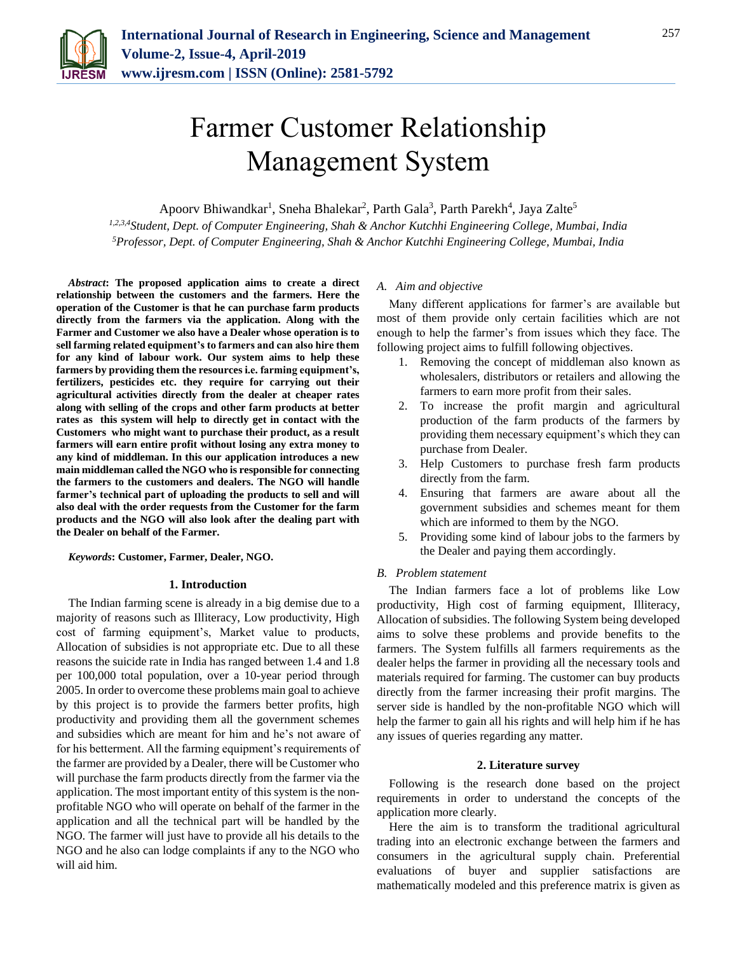

# Farmer Customer Relationship Management System

Apoorv Bhiwandkar<sup>1</sup>, Sneha Bhalekar<sup>2</sup>, Parth Gala<sup>3</sup>, Parth Parekh<sup>4</sup>, Jaya Zalte<sup>5</sup>

*1,2,3,4Student, Dept. of Computer Engineering, Shah & Anchor Kutchhi Engineering College, Mumbai, India 5Professor, Dept. of Computer Engineering, Shah & Anchor Kutchhi Engineering College, Mumbai, India*

*Abstract***: The proposed application aims to create a direct relationship between the customers and the farmers. Here the operation of the Customer is that he can purchase farm products directly from the farmers via the application. Along with the Farmer and Customer we also have a Dealer whose operation is to sell farming related equipment's to farmers and can also hire them for any kind of labour work. Our system aims to help these farmers by providing them the resources i.e. farming equipment's, fertilizers, pesticides etc. they require for carrying out their agricultural activities directly from the dealer at cheaper rates along with selling of the crops and other farm products at better rates as this system will help to directly get in contact with the Customers who might want to purchase their product, as a result farmers will earn entire profit without losing any extra money to any kind of middleman. In this our application introduces a new main middleman called the NGO who is responsible for connecting the farmers to the customers and dealers. The NGO will handle farmer's technical part of uploading the products to sell and will also deal with the order requests from the Customer for the farm products and the NGO will also look after the dealing part with the Dealer on behalf of the Farmer.**

*Keywords***: Customer, Farmer, Dealer, NGO.**

#### **1. Introduction**

The Indian farming scene is already in a big demise due to a majority of reasons such as Illiteracy, Low productivity, High cost of farming equipment's, Market value to products, Allocation of subsidies is not appropriate etc. Due to all these reasons the suicide rate in India has ranged between 1.4 and 1.8 per 100,000 total population, over a 10-year period through 2005. In order to overcome these problems main goal to achieve by this project is to provide the farmers better profits, high productivity and providing them all the government schemes and subsidies which are meant for him and he's not aware of for his betterment. All the farming equipment's requirements of the farmer are provided by a Dealer, there will be Customer who will purchase the farm products directly from the farmer via the application. The most important entity of this system is the nonprofitable NGO who will operate on behalf of the farmer in the application and all the technical part will be handled by the NGO. The farmer will just have to provide all his details to the NGO and he also can lodge complaints if any to the NGO who will aid him.

## *A. Aim and objective*

Many different applications for farmer's are available but most of them provide only certain facilities which are not enough to help the farmer's from issues which they face. The following project aims to fulfill following objectives.

- 1. Removing the concept of middleman also known as wholesalers, distributors or retailers and allowing the farmers to earn more profit from their sales.
- 2. To increase the profit margin and agricultural production of the farm products of the farmers by providing them necessary equipment's which they can purchase from Dealer.
- 3. Help Customers to purchase fresh farm products directly from the farm.
- 4. Ensuring that farmers are aware about all the government subsidies and schemes meant for them which are informed to them by the NGO.
- 5. Providing some kind of labour jobs to the farmers by the Dealer and paying them accordingly.

# *B. Problem statement*

The Indian farmers face a lot of problems like Low productivity, High cost of farming equipment, Illiteracy, Allocation of subsidies. The following System being developed aims to solve these problems and provide benefits to the farmers. The System fulfills all farmers requirements as the dealer helps the farmer in providing all the necessary tools and materials required for farming. The customer can buy products directly from the farmer increasing their profit margins. The server side is handled by the non-profitable NGO which will help the farmer to gain all his rights and will help him if he has any issues of queries regarding any matter.

#### **2. Literature survey**

Following is the research done based on the project requirements in order to understand the concepts of the application more clearly.

Here the aim is to transform the traditional agricultural trading into an electronic exchange between the farmers and consumers in the agricultural supply chain. Preferential evaluations of buyer and supplier satisfactions are mathematically modeled and this preference matrix is given as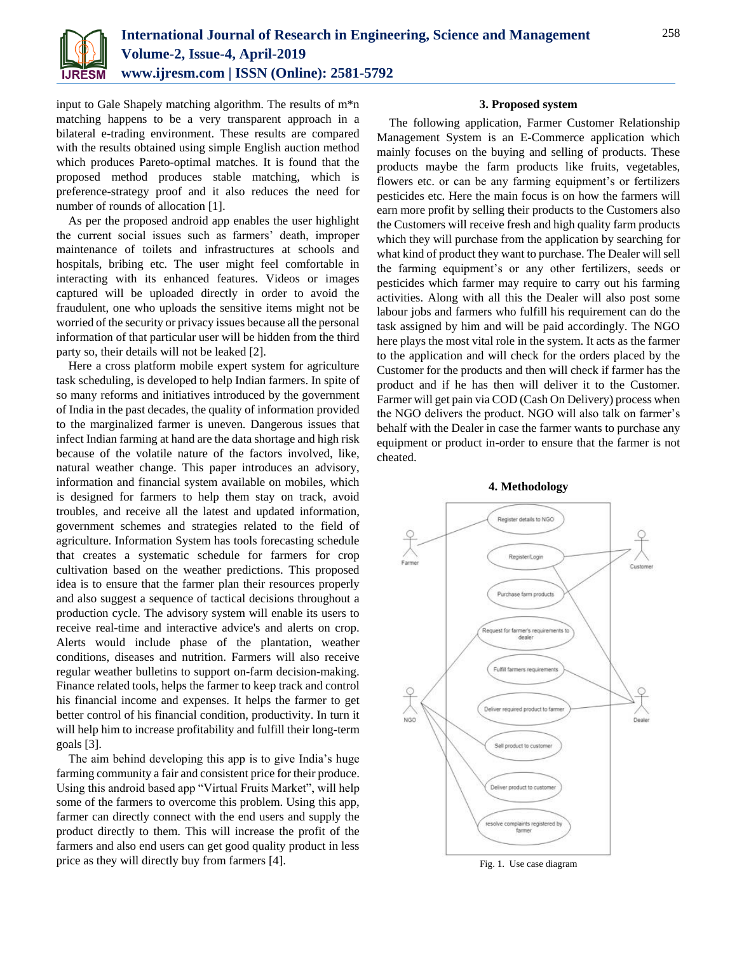

input to Gale Shapely matching algorithm. The results of m\*n matching happens to be a very transparent approach in a bilateral e-trading environment. These results are compared with the results obtained using simple English auction method which produces Pareto-optimal matches. It is found that the proposed method produces stable matching, which is preference-strategy proof and it also reduces the need for number of rounds of allocation [1].

As per the proposed android app enables the user highlight the current social issues such as farmers' death, improper maintenance of toilets and infrastructures at schools and hospitals, bribing etc. The user might feel comfortable in interacting with its enhanced features. Videos or images captured will be uploaded directly in order to avoid the fraudulent, one who uploads the sensitive items might not be worried of the security or privacy issues because all the personal information of that particular user will be hidden from the third party so, their details will not be leaked [2].

Here a cross platform mobile expert system for agriculture task scheduling, is developed to help Indian farmers. In spite of so many reforms and initiatives introduced by the government of India in the past decades, the quality of information provided to the marginalized farmer is uneven. Dangerous issues that infect Indian farming at hand are the data shortage and high risk because of the volatile nature of the factors involved, like, natural weather change. This paper introduces an advisory, information and financial system available on mobiles, which is designed for farmers to help them stay on track, avoid troubles, and receive all the latest and updated information, government schemes and strategies related to the field of agriculture. Information System has tools forecasting schedule that creates a systematic schedule for farmers for crop cultivation based on the weather predictions. This proposed idea is to ensure that the farmer plan their resources properly and also suggest a sequence of tactical decisions throughout a production cycle. The advisory system will enable its users to receive real-time and interactive advice's and alerts on crop. Alerts would include phase of the plantation, weather conditions, diseases and nutrition. Farmers will also receive regular weather bulletins to support on-farm decision-making. Finance related tools, helps the farmer to keep track and control his financial income and expenses. It helps the farmer to get better control of his financial condition, productivity. In turn it will help him to increase profitability and fulfill their long-term goals [3].

The aim behind developing this app is to give India's huge farming community a fair and consistent price for their produce. Using this android based app "Virtual Fruits Market", will help some of the farmers to overcome this problem. Using this app, farmer can directly connect with the end users and supply the product directly to them. This will increase the profit of the farmers and also end users can get good quality product in less price as they will directly buy from farmers [4].

### **3. Proposed system**

The following application, Farmer Customer Relationship Management System is an E-Commerce application which mainly focuses on the buying and selling of products. These products maybe the farm products like fruits, vegetables, flowers etc. or can be any farming equipment's or fertilizers pesticides etc. Here the main focus is on how the farmers will earn more profit by selling their products to the Customers also the Customers will receive fresh and high quality farm products which they will purchase from the application by searching for what kind of product they want to purchase. The Dealer will sell the farming equipment's or any other fertilizers, seeds or pesticides which farmer may require to carry out his farming activities. Along with all this the Dealer will also post some labour jobs and farmers who fulfill his requirement can do the task assigned by him and will be paid accordingly. The NGO here plays the most vital role in the system. It acts as the farmer to the application and will check for the orders placed by the Customer for the products and then will check if farmer has the product and if he has then will deliver it to the Customer. Farmer will get pain via COD (Cash On Delivery) process when the NGO delivers the product. NGO will also talk on farmer's behalf with the Dealer in case the farmer wants to purchase any equipment or product in-order to ensure that the farmer is not cheated.





Fig. 1. Use case diagram